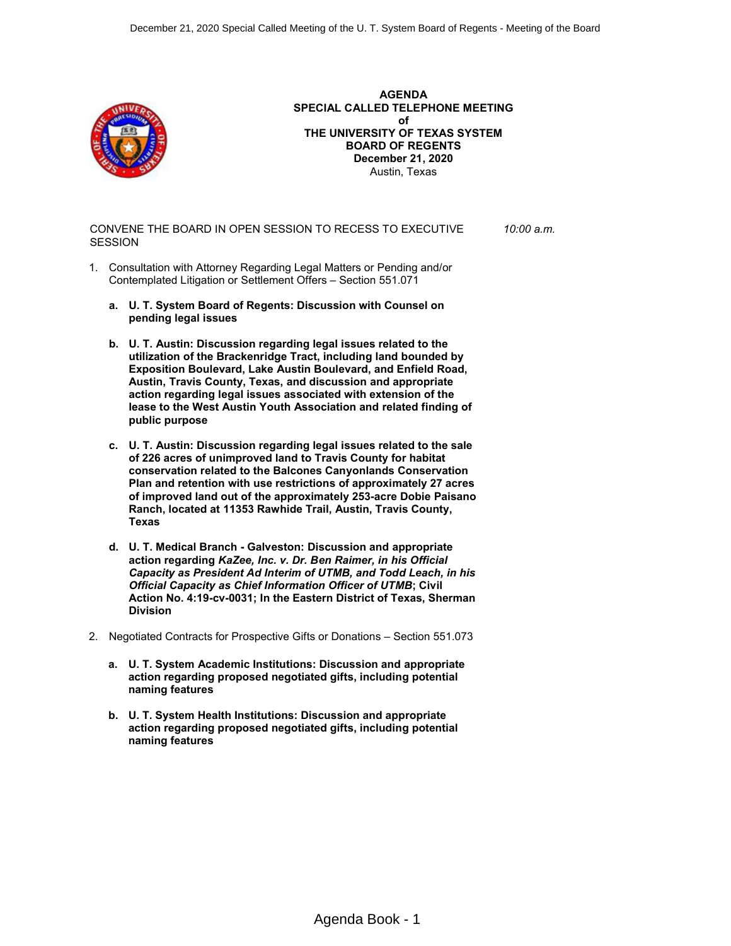

**AGENDA SPECIAL CALLED TELEPHONE MEETING of THE UNIVERSITY OF TEXAS SYSTEM BOARD OF REGENTS December 21, 2020** Austin, Texas

CONVENE THE BOARD IN OPEN SESSION TO RECESS TO EXECUTIVE **SESSION** *10:00 a.m.*

- 1. Consultation with Attorney Regarding Legal Matters or Pending and/or Contemplated Litigation or Settlement Offers – Section 551.071
	- **a. U. T. System Board of Regents: Discussion with Counsel on pending legal issues**
	- **b. U. T. Austin: Discussion regarding legal issues related to the utilization of the Brackenridge Tract, including land bounded by Exposition Boulevard, Lake Austin Boulevard, and Enfield Road, Austin, Travis County, Texas, and discussion and appropriate action regarding legal issues associated with extension of the lease to the West Austin Youth Association and related finding of public purpose**
	- **c. U. T. Austin: Discussion regarding legal issues related to the sale of 226 acres of unimproved land to Travis County for habitat conservation related to the Balcones Canyonlands Conservation Plan and retention with use restrictions of approximately 27 acres of improved land out of the approximately 253-acre Dobie Paisano Ranch, located at 11353 Rawhide Trail, Austin, Travis County, Texas**
	- **d. U. T. Medical Branch - Galveston: Discussion and appropriate action regarding** *KaZee, Inc. v. Dr. Ben Raimer, in his Official Capacity as President Ad Interim of UTMB, and Todd Leach, in his Official Capacity as Chief Information Officer of UTMB***; Civil Action No. 4:19-cv-0031; In the Eastern District of Texas, Sherman Division**
- 2. Negotiated Contracts for Prospective Gifts or Donations Section 551.073
	- **a. U. T. System Academic Institutions: Discussion and appropriate action regarding proposed negotiated gifts, including potential naming features**
	- **b. U. T. System Health Institutions: Discussion and appropriate action regarding proposed negotiated gifts, including potential naming features**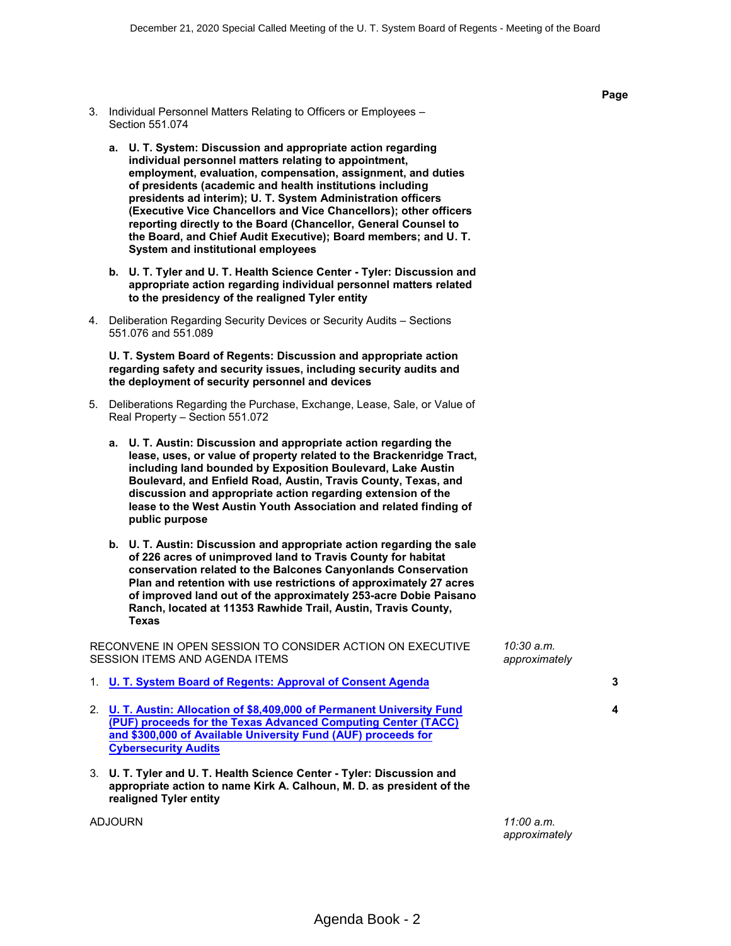- 3. Individual Personnel Matters Relating to Officers or Employees Section 551.074
	- **a. U. T. System: Discussion and appropriate action regarding individual personnel matters relating to appointment, employment, evaluation, compensation, assignment, and duties of presidents (academic and health institutions including presidents ad interim); U. T. System Administration officers (Executive Vice Chancellors and Vice Chancellors); other officers reporting directly to the Board (Chancellor, General Counsel to the Board, and Chief Audit Executive); Board members; and U. T. System and institutional employees**
	- **b. U. T. Tyler and U. T. Health Science Center - Tyler: Discussion and appropriate action regarding individual personnel matters related to the presidency of the realigned Tyler entity**
- 4. Deliberation Regarding Security Devices or Security Audits Sections 551.076 and 551.089

**U. T. System Board of Regents: Discussion and appropriate action regarding safety and security issues, including security audits and the deployment of security personnel and devices**

- 5. Deliberations Regarding the Purchase, Exchange, Lease, Sale, or Value of Real Property – Section 551.072
	- **a. U. T. Austin: Discussion and appropriate action regarding the lease, uses, or value of property related to the Brackenridge Tract, including land bounded by Exposition Boulevard, Lake Austin Boulevard, and Enfield Road, Austin, Travis County, Texas, and discussion and appropriate action regarding extension of the lease to the West Austin Youth Association and related finding of public purpose**
	- **b. U. T. Austin: Discussion and appropriate action regarding the sale of 226 acres of unimproved land to Travis County for habitat conservation related to the Balcones Canyonlands Conservation Plan and retention with use restrictions of approximately 27 acres of improved land out of the approximately 253-acre Dobie Paisano Ranch, located at 11353 Rawhide Trail, Austin, Travis County, Texas**

RECONVENE IN OPEN SESSION TO CONSIDER ACTION ON EXECUTIVE SESSION ITEMS AND AGENDA ITEMS

|                | 1. U. T. System Board of Regents: Approval of Consent Agenda                                                                                                                                                                             |            | 3 |
|----------------|------------------------------------------------------------------------------------------------------------------------------------------------------------------------------------------------------------------------------------------|------------|---|
|                | 2. U. T. Austin: Allocation of \$8,409,000 of Permanent University Fund<br>(PUF) proceeds for the Texas Advanced Computing Center (TACC)<br>and \$300,000 of Available University Fund (AUF) proceeds for<br><b>Cybersecurity Audits</b> |            | 4 |
|                | 3. U. T. Tyler and U. T. Health Science Center - Tyler: Discussion and<br>appropriate action to name Kirk A. Calhoun, M. D. as president of the<br>realigned Tyler entity                                                                |            |   |
| <b>ADJOURN</b> |                                                                                                                                                                                                                                          | 11:00 a.m. |   |

*approximately*

*10:30 a.m. approximately*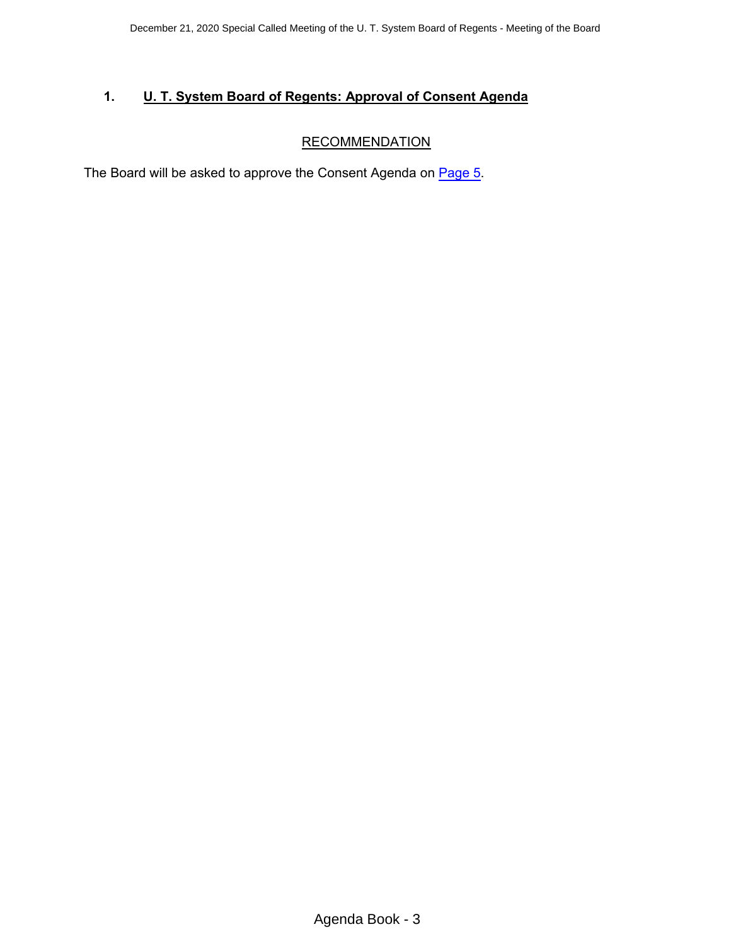## <span id="page-2-0"></span>**1. U. T. System Board of Regents: Approval of Consent Agenda**

# **RECOMMENDATION**

The Board will be asked to approve the Consent Agenda on [Page 5.](#page-4-0)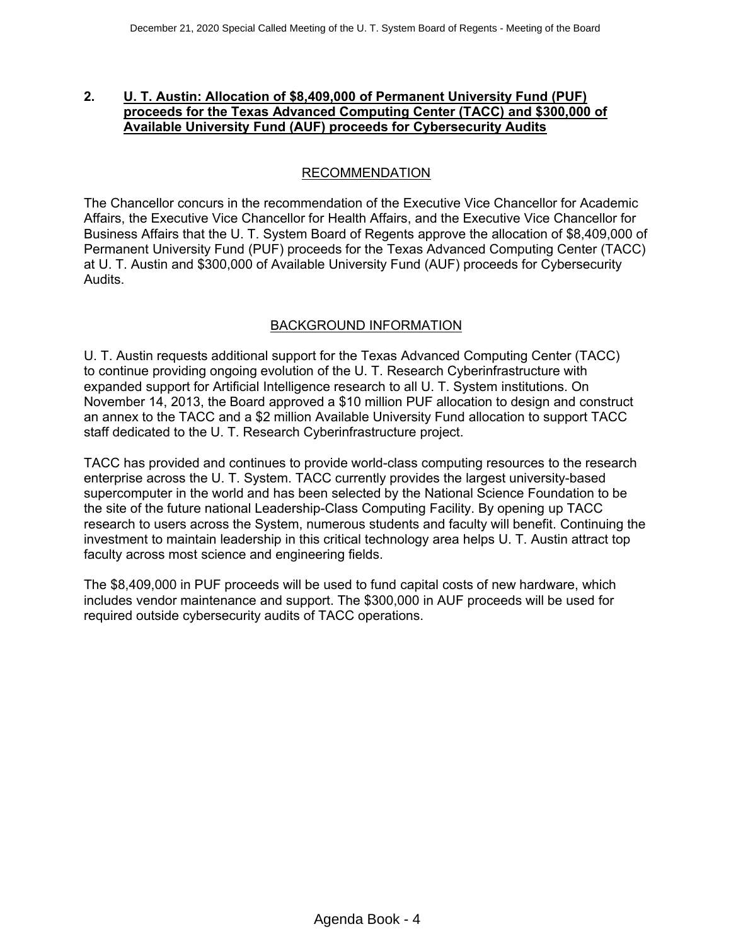### <span id="page-3-0"></span>**2. U. T. Austin: Allocation of \$8,409,000 of Permanent University Fund (PUF) proceeds for the Texas Advanced Computing Center (TACC) and \$300,000 of Available University Fund (AUF) proceeds for Cybersecurity Audits**

## RECOMMENDATION

The Chancellor concurs in the recommendation of the Executive Vice Chancellor for Academic Affairs, the Executive Vice Chancellor for Health Affairs, and the Executive Vice Chancellor for Business Affairs that the U. T. System Board of Regents approve the allocation of \$8,409,000 of Permanent University Fund (PUF) proceeds for the Texas Advanced Computing Center (TACC) at U. T. Austin and \$300,000 of Available University Fund (AUF) proceeds for Cybersecurity Audits.

## BACKGROUND INFORMATION

U. T. Austin requests additional support for the Texas Advanced Computing Center (TACC) to continue providing ongoing evolution of the U. T. Research Cyberinfrastructure with expanded support for Artificial Intelligence research to all U. T. System institutions. On November 14, 2013, the Board approved a \$10 million PUF allocation to design and construct an annex to the TACC and a \$2 million Available University Fund allocation to support TACC staff dedicated to the U. T. Research Cyberinfrastructure project.

TACC has provided and continues to provide world-class computing resources to the research enterprise across the U. T. System. TACC currently provides the largest university-based supercomputer in the world and has been selected by the National Science Foundation to be the site of the future national Leadership-Class Computing Facility. By opening up TACC research to users across the System, numerous students and faculty will benefit. Continuing the investment to maintain leadership in this critical technology area helps U. T. Austin attract top faculty across most science and engineering fields.

The \$8,409,000 in PUF proceeds will be used to fund capital costs of new hardware, which includes vendor maintenance and support. The \$300,000 in AUF proceeds will be used for required outside cybersecurity audits of TACC operations.